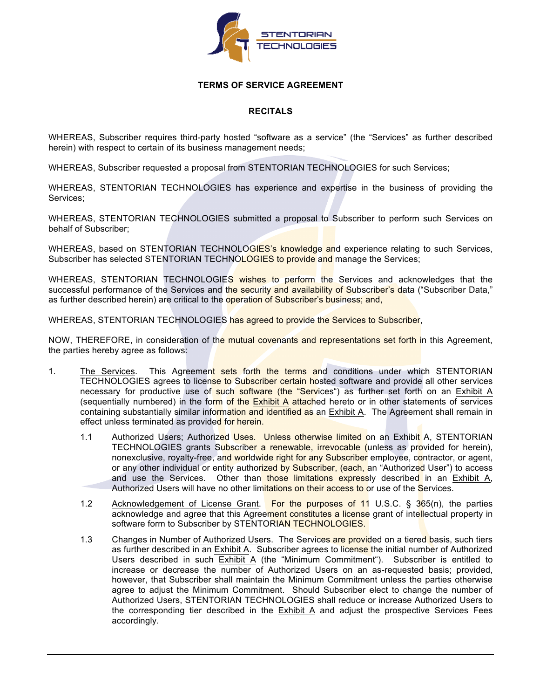

## **TERMS OF SERVICE AGREEMENT**

# **RECITALS**

WHEREAS, Subscriber requires third-party hosted "software as a service" (the "Services" as further described herein) with respect to certain of its business management needs;

WHEREAS, Subscriber requested a proposal from STENTORIAN TECHNOLOGIES for such Services;

WHEREAS, STENTORIAN TECHNOLOGIES has experience and expertise in the business of providing the Services;

WHEREAS, STENTORIAN TECHNOLOGIES submitted a proposal to Subscriber to perform such Services on behalf of Subscriber;

WHEREAS, based on STENTORIAN TECHNOLOGIES's knowledge and experience relating to such Services, Subscriber has selected STENTORIAN TECHNOLOGIES to provide and manage the Services;

WHEREAS, STENTORIAN TECHNOLOGIES wishes to perform the Services and acknowledges that the successful performance of the Services and the security and availability of Subscriber's data ("Subscriber Data," as further described herein) are critical to the operation of Subscriber's business; and,

WHEREAS, STENTORIAN TECHNOLOGIES has agreed to provide the Services to Subscriber,

NOW, THEREFORE, in consideration of the mutual covenants and representations set forth in this Agreement, the parties hereby agree as follows:

- 1. The Services. This Agreement sets forth the terms and conditions under which STENTORIAN TECHNOLOGIES agrees to license to Subscriber certain hosted software and provide all other services necessary for productive use of such software (the "Services") as further set forth on an Exhibit A (sequentially numbered) in the form of the Exhibit A attached hereto or in other statements of services containing substantially similar information and identified as an Exhibit A. The Agreement shall remain in effect unless terminated as provided for herein.
	- 1.1 Authorized Users; Authorized Uses. Unless otherwise limited on an Exhibit A, STENTORIAN TECHNOLOGIES grants Subscriber a renewable, irrevocable (unless as provided for herein), nonexclusive, royalty-free, and worldwide right for any Subscriber employee, contractor, or agent, or any other individual or entity authorized by Subscriber, (each, an "Authorized User") to access and use the Services. Other than those limitations expressly described in an Exhibit A, Authorized Users will have no other limitations on their access to or use of the Services.
	- 1.2 Acknowledgement of License Grant. For the purposes of 11 U.S.C. § 365(n), the parties acknowledge and agree that this Agreement constitutes a license grant of intellectual property in software form to Subscriber by STENTORIAN TECHNOLOGIES.
	- 1.3 Changes in Number of Authorized Users. The Services are provided on a tiered basis, such tiers as further described in an Exhibit A. Subscriber agrees to license the initial number of Authorized Users described in such Exhibit A (the "Minimum Commitment"). Subscriber is entitled to increase or decrease the number of Authorized Users on an as-requested basis; provided, however, that Subscriber shall maintain the Minimum Commitment unless the parties otherwise agree to adjust the Minimum Commitment. Should Subscriber elect to change the number of Authorized Users, STENTORIAN TECHNOLOGIES shall reduce or increase Authorized Users to the corresponding tier described in the Exhibit A and adjust the prospective Services Fees accordingly.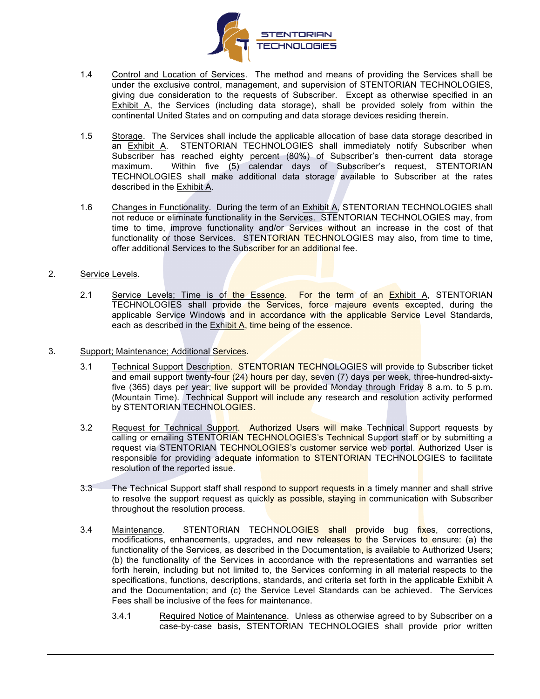

- 1.4 Control and Location of Services. The method and means of providing the Services shall be under the exclusive control, management, and supervision of STENTORIAN TECHNOLOGIES, giving due consideration to the requests of Subscriber. Except as otherwise specified in an Exhibit A, the Services (including data storage), shall be provided solely from within the continental United States and on computing and data storage devices residing therein.
- 1.5 Storage. The Services shall include the applicable allocation of base data storage described in an Exhibit A. STENTORIAN TECHNOLOGIES shall immediately notify Subscriber when Subscriber has reached eighty percent (80%) of Subscriber's then-current data storage maximum. Within five (5) calendar days of Subscriber's request, STENTORIAN TECHNOLOGIES shall make additional data storage available to Subscriber at the rates described in the Exhibit A.
- 1.6 Changes in Functionality. During the term of an Exhibit A, STENTORIAN TECHNOLOGIES shall not reduce or eliminate functionality in the Services. STENTORIAN TECHNOLOGIES may, from time to time, improve functionality and/or Services without an increase in the cost of that functionality or those Services. STENTORIAN TECHNOLOGIES may also, from time to time, offer additional Services to the Subscriber for an additional fee.
- 2. Service Levels.
	- 2.1 Service Levels; Time is of the Essence. For the term of an Exhibit A, STENTORIAN TECHNOLOGIES shall provide the Services, force majeure events excepted, during the applicable Service Windows and in accordance with the applicable Service Level Standards, each as described in the Exhibit A, time being of the essence.
- 3. Support; Maintenance; Additional Services.
	- 3.1 Technical Support Description. STENTORIAN TECHNOLOGIES will provide to Subscriber ticket and email support twenty-four (24) hours per day, seven (7) days per week, three-hundred-sixtyfive (365) days per year; live support will be provided Monday through Friday 8 a.m. to 5 p.m. (Mountain Time). Technical Support will include any research and resolution activity performed by STENTORIAN TECHNOLOGIES.
	- 3.2 Request for Technical Support. Authorized Users will make Technical Support requests by calling or emailing STENTORIAN TECHNOLOGIES's Technical Support staff or by submitting a request via STENTORIAN TECHNOLOGIES's customer service web portal. Authorized User is responsible for providing adequate information to STENTORIAN TECHNOLOGIES to facilitate resolution of the reported issue.
	- 3.3 The Technical Support staff shall respond to support requests in a timely manner and shall strive to resolve the support request as quickly as possible, staying in communication with Subscriber throughout the resolution process.
	- 3.4 Maintenance. STENTORIAN TECHNOLOGIES shall provide bug fixes, corrections, modifications, enhancements, upgrades, and new releases to the Services to ensure: (a) the functionality of the Services, as described in the Documentation, is available to Authorized Users; (b) the functionality of the Services in accordance with the representations and warranties set forth herein, including but not limited to, the Services conforming in all material respects to the specifications, functions, descriptions, standards, and criteria set forth in the applicable Exhibit A and the Documentation; and (c) the Service Level Standards can be achieved. The Services Fees shall be inclusive of the fees for maintenance.
		- 3.4.1 Required Notice of Maintenance. Unless as otherwise agreed to by Subscriber on a case-by-case basis, STENTORIAN TECHNOLOGIES shall provide prior written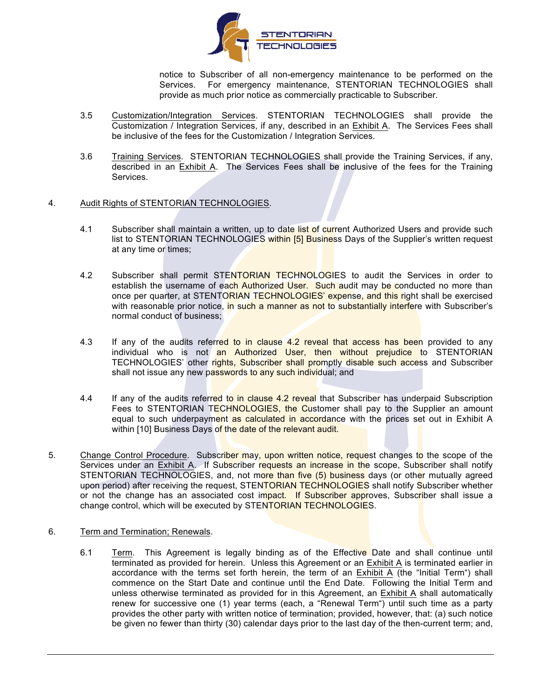

notice to Subscriber of all non-emergency maintenance to be performed on the Services. For emergency maintenance, STENTORIAN TECHNOLOGIES shall provide as much prior notice as commercially practicable to Subscriber.

- 3.5 Customization/Integration Services. STENTORIAN TECHNOLOGIES shall provide the Customization / Integration Services, if any, described in an **Exhibit A.** The Services Fees shall be inclusive of the fees for the Customization / Integration Services.
- 3.6 Training Services. STENTORIAN TECHNOLOGIES shall provide the Training Services, if any, described in an Exhibit A. The Services Fees shall be inclusive of the fees for the Training Services.

### 4. Audit Rights of STENTORIAN TECHNOLOGIES.

- 4.1 Subscriber shall maintain a written, up to date list of current Authorized Users and provide such list to STENTORIAN TECHNOLOGIES within [5] Business Days of the Supplier's written request at any time or times;
- 4.2 Subscriber shall permit STENTORIAN TECHNOLOGIES to audit the Services in order to establish the username of each Authorized User. Such audit may be conducted no more than once per quarter, at STENTORIAN TECHNOLOGIES' expense, and this right shall be exercised with reasonable prior notice, in such a manner as not to substantially interfere with Subscriber's normal conduct of business;
- 4.3 If any of the audits referred to in clause 4.2 reveal that access has been provided to any individual who is not an Authorized User, then without prejudice to STENTORIAN TECHNOLOGIES' other rights, Subscriber shall promptly disable such access and Subscriber shall not issue any new passwords to any such individual; and
- 4.4 If any of the audits referred to in clause 4.2 reveal that Subscriber has underpaid Subscription Fees to STENTORIAN TECHNOLOGIES, the Customer shall pay to the Supplier an amount equal to such underpayment as calculated in accordance with the prices set out in Exhibit A within [10] Business Days of the date of the relevant audit.
- 5. Change Control Procedure. Subscriber may, upon written notice, request changes to the scope of the Services under an Exhibit A. If Subscriber requests an increase in the scope, Subscriber shall notify STENTORIAN TECHNOLOGIES, and, not more than five (5) business days (or other mutually agreed upon period) after receiving the request, STENTORIAN TECHNOLOGIES shall notify Subscriber whether or not the change has an associated cost impact. If Subscriber approves, Subscriber shall issue a change control, which will be executed by STENTORIAN TECHNOLOGIES.
- 6. Term and Termination; Renewals.
	- 6.1 Term. This Agreement is legally binding as of the Effective Date and shall continue until terminated as provided for herein. Unless this Agreement or an Exhibit A is terminated earlier in accordance with the terms set forth herein, the term of an Exhibit A (the "Initial Term") shall commence on the Start Date and continue until the End Date. Following the Initial Term and unless otherwise terminated as provided for in this Agreement, an Exhibit A shall automatically renew for successive one (1) year terms (each, a "Renewal Term") until such time as a party provides the other party with written notice of termination; provided, however, that: (a) such notice be given no fewer than thirty (30) calendar days prior to the last day of the then-current term; and,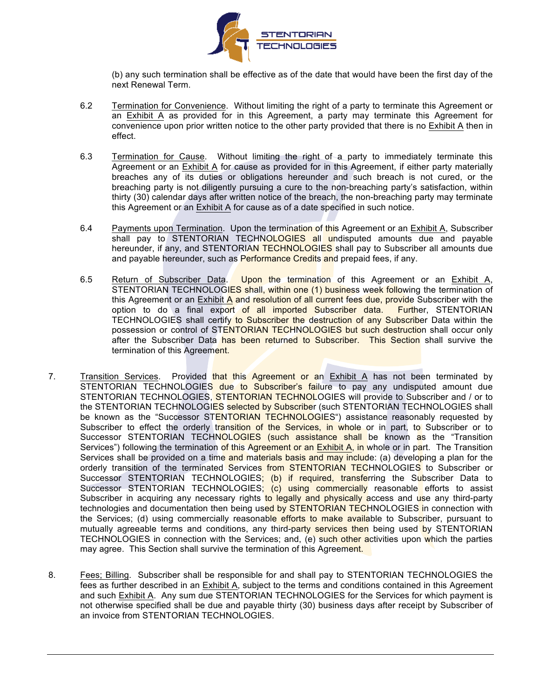

(b) any such termination shall be effective as of the date that would have been the first day of the next Renewal Term.

- 6.2 Termination for Convenience. Without limiting the right of a party to terminate this Agreement or an Exhibit A as provided for in this Agreement, a party may terminate this Agreement for convenience upon prior written notice to the other party provided that there is no Exhibit A then in effect.
- 6.3 Termination for Cause. Without limiting the right of a party to immediately terminate this Agreement or an Exhibit A for cause as provided for in this Agreement, if either party materially breaches any of its duties or obligations hereunder and such breach is not cured, or the breaching party is not diligently pursuing a cure to the non-breaching party's satisfaction, within thirty (30) calendar days after written notice of the breach, the non-breaching party may terminate this Agreement or an Exhibit A for cause as of a date specified in such notice.
- 6.4 Payments upon Termination. Upon the termination of this Agreement or an Exhibit A, Subscriber shall pay to STENTORIAN TECHNOLOGIES all undisputed amounts due and payable hereunder, if any, and STENTORIAN TECHNOLOGIES shall pay to Subscriber all amounts due and payable hereunder, such as Performance Credits and prepaid fees, if any.
- 6.5 Return of Subscriber Data. Upon the termination of this Agreement or an Exhibit A, STENTORIAN TECHNOLOGIES shall, within one (1) business week following the termination of this Agreement or an Exhibit A and resolution of all current fees due, provide Subscriber with the option to do a final export of all imported Subscriber data. Further, STENTORIAN TECHNOLOGIES shall certify to Subscriber the destruction of any Subscriber Data within the possession or control of STENTORIAN TECHNOLOGIES but such destruction shall occur only after the Subscriber Data has been returned to Subscriber. This Section shall survive the termination of this Agreement.
- 7. Transition Services. Provided that this Agreement or an Exhibit A has not been terminated by STENTORIAN TECHNOLOGIES due to Subscriber's failure to pay any undisputed amount due STENTORIAN TECHNOLOGIES, STENTORIAN TECHNOLOGIES will provide to Subscriber and / or to the STENTORIAN TECHNOLOGIES selected by Subscriber (such STENTORIAN TECHNOLOGIES shall be known as the "Successor STENTORIAN TECHNOLOGIES") assistance reasonably requested by Subscriber to effect the orderly transition of the Services, in whole or in part, to Subscriber or to Successor STENTORIAN TECHNOLOGIES (such assistance shall be known as the "Transition Services") following the termination of this Agreement or an Exhibit A, in whole or in part. The Transition Services shall be provided on a time and materials basis and may include: (a) developing a plan for the orderly transition of the terminated Services from STENTORIAN TECHNOLOGIES to Subscriber or Successor STENTORIAN TECHNOLOGIES; (b) if required, transferring the Subscriber Data to Successor STENTORIAN TECHNOLOGIES; (c) using commercially reasonable efforts to assist Subscriber in acquiring any necessary rights to legally and physically access and use any third-party technologies and documentation then being used by STENTORIAN TECHNOLOGIES in connection with the Services; (d) using commercially reasonable efforts to make available to Subscriber, pursuant to mutually agreeable terms and conditions, any third-party services then being used by STENTORIAN TECHNOLOGIES in connection with the Services; and, (e) such other activities upon which the parties may agree. This Section shall survive the termination of this Agreement.
- 8. Fees; Billing. Subscriber shall be responsible for and shall pay to STENTORIAN TECHNOLOGIES the fees as further described in an Exhibit A, subject to the terms and conditions contained in this Agreement and such Exhibit A. Any sum due STENTORIAN TECHNOLOGIES for the Services for which payment is not otherwise specified shall be due and payable thirty (30) business days after receipt by Subscriber of an invoice from STENTORIAN TECHNOLOGIES.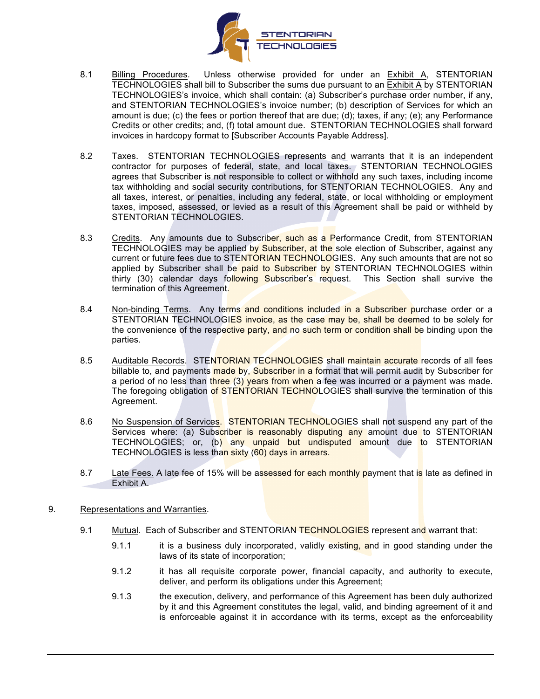

- 8.1 Billing Procedures. Unless otherwise provided for under an Exhibit A, STENTORIAN TECHNOLOGIES shall bill to Subscriber the sums due pursuant to an Exhibit A by STENTORIAN TECHNOLOGIES's invoice, which shall contain: (a) Subscriber's purchase order number, if any, and STENTORIAN TECHNOLOGIES's invoice number; (b) description of Services for which an amount is due; (c) the fees or portion thereof that are due; (d); taxes, if any; (e); any Performance Credits or other credits; and, (f) total amount due. STENTORIAN TECHNOLOGIES shall forward invoices in hardcopy format to [Subscriber Accounts Payable Address].
- 8.2 Taxes. STENTORIAN TECHNOLOGIES represents and warrants that it is an independent contractor for purposes of federal, state, and local taxes. STENTORIAN TECHNOLOGIES agrees that Subscriber is not responsible to collect or withhold any such taxes, including income tax withholding and social security contributions, for STENTORIAN TECHNOLOGIES. Any and all taxes, interest, or penalties, including any federal, state, or local withholding or employment taxes, imposed, assessed, or levied as a result of this Agreement shall be paid or withheld by STENTORIAN TECHNOLOGIES.
- 8.3 Credits. Any amounts due to Subscriber, such as a Performance Credit, from STENTORIAN TECHNOLOGIES may be applied by Subscriber, at the sole election of Subscriber, against any current or future fees due to STENTORIAN TECHNOLOGIES. Any such amounts that are not so applied by Subscriber shall be paid to Subscriber by STENTORIAN TECHNOLOGIES within thirty (30) calendar days following Subscriber's request. This Section shall survive the termination of this Agreement.
- 8.4 Non-binding Terms. Any terms and conditions included in a Subscriber purchase order or a STENTORIAN TECHNOLOGIES invoice, as the case may be, shall be deemed to be solely for the convenience of the respective party, and no such term or condition shall be binding upon the parties.
- 8.5 Auditable Records. STENTORIAN TECHNOLOGIES shall maintain accurate records of all fees billable to, and payments made by, Subscriber in a format that will permit audit by Subscriber for a period of no less than three (3) years from when a fee was incurred or a payment was made. The foregoing obligation of STENTORIAN TECHNOLOGIES shall survive the termination of this Agreement.
- 8.6 No Suspension of Services. STENTORIAN TECHNOLOGIES shall not suspend any part of the Services where: (a) Subscriber is reasonably disputing any amount due to STENTORIAN TECHNOLOGIES; or, (b) any unpaid but undisputed amount due to STENTORIAN TECHNOLOGIES is less than sixty (60) days in arrears.
- 8.7 Late Fees. A late fee of 15% will be assessed for each monthly payment that is late as defined in Exhibit A.
- 9. Representations and Warranties.
	- 9.1 Mutual. Each of Subscriber and STENTORIAN TECHNOLOGIES represent and warrant that:
		- 9.1.1 it is a business duly incorporated, validly existing, and in good standing under the laws of its state of incorporation;
		- 9.1.2 it has all requisite corporate power, financial capacity, and authority to execute, deliver, and perform its obligations under this Agreement;
		- 9.1.3 the execution, delivery, and performance of this Agreement has been duly authorized by it and this Agreement constitutes the legal, valid, and binding agreement of it and is enforceable against it in accordance with its terms, except as the enforceability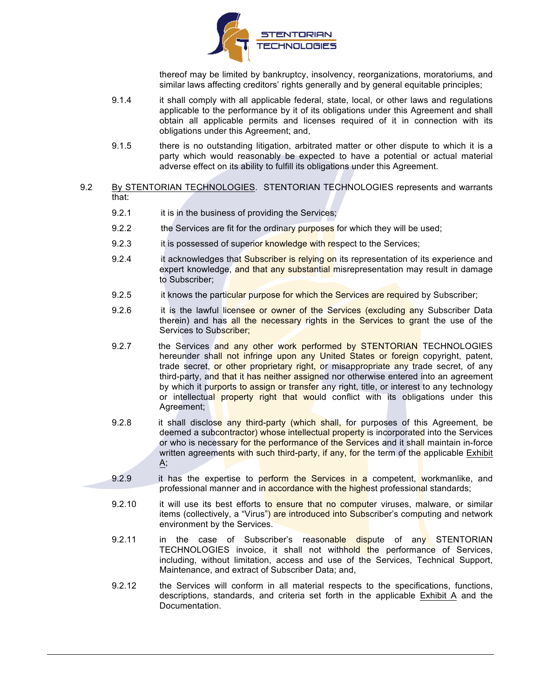

thereof may be limited by bankruptcy, insolvency, reorganizations, moratoriums, and similar laws affecting creditors' rights generally and by general equitable principles;

- 9.1.4 it shall comply with all applicable federal, state, local, or other laws and regulations applicable to the performance by it of its obligations under this Agreement and shall obtain all applicable permits and licenses required of it in connection with its obligations under this Agreement; and,
- 9.1.5 there is no outstanding litigation, arbitrated matter or other dispute to which it is a party which would reasonably be expected to have a potential or actual material adverse effect on its ability to fulfill its obligations under this Agreement.
- 9.2 By STENTORIAN TECHNOLOGIES. STENTORIAN TECHNOLOGIES represents and warrants that:
	- 9.2.1 it is in the business of providing the Services;
	- 9.2.2 the Services are fit for the ordinary purposes for which they will be used;
	- 9.2.3 it is possessed of superior knowledge with respect to the Services;
	- 9.2.4 it acknowledges that Subscriber is relying on its representation of its experience and expert knowledge, and that any substantial misrepresentation may result in damage to Subscriber;
	- 9.2.5 it knows the particular purpose for which the Services are required by Subscriber;
	- 9.2.6 it is the lawful licensee or owner of the Services (excluding any Subscriber Data therein) and has all the necessary rights in the Services to grant the use of the Services to Subscriber;
	- 9.2.7 the Services and any other work performed by STENTORIAN TECHNOLOGIES hereunder shall not infringe upon any United States or foreign copyright, patent, trade secret, or other proprietary right, or misappropriate any trade secret, of any third-party, and that it has neither assigned nor otherwise entered into an agreement by which it purports to assign or transfer any right, title, or interest to any technology or intellectual property right that would conflict with its obligations under this Agreement;
	- 9.2.8 it shall disclose any third-party (which shall, for purposes of this Agreement, be deemed a subcontractor) whose intellectual property is incorporated into the Services or who is necessary for the performance of the Services and it shall maintain in-force written agreements with such third-party, if any, for the term of the applicable Exhibit A;
	- 9.2.9 it has the expertise to perform the Services in a competent, workmanlike, and professional manner and in accordance with the highest professional standards;
		- 9.2.10 it will use its best efforts to ensure that no computer viruses, malware, or similar items (collectively, a "Virus") are introduced into Subscriber's computing and network environment by the Services.
		- 9.2.11 in the case of Subscriber's reasonable dispute of any STENTORIAN TECHNOLOGIES invoice, it shall not withhold the performance of Services, including, without limitation, access and use of the Services, Technical Support, Maintenance, and extract of Subscriber Data; and,
		- 9.2.12 the Services will conform in all material respects to the specifications, functions, descriptions, standards, and criteria set forth in the applicable  $Exhibit A$  and the Documentation.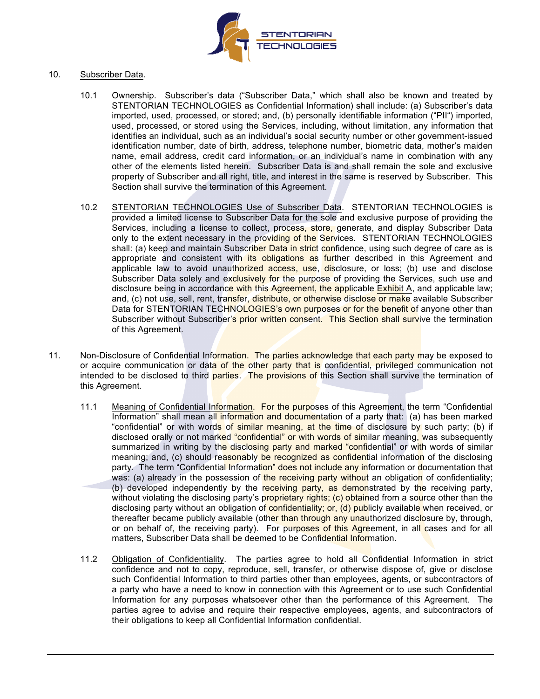

### 10. Subscriber Data.

- 10.1 Ownership. Subscriber's data ("Subscriber Data," which shall also be known and treated by STENTORIAN TECHNOLOGIES as Confidential Information) shall include: (a) Subscriber's data imported, used, processed, or stored; and, (b) personally identifiable information ("PII") imported, used, processed, or stored using the Services, including, without limitation, any information that identifies an individual, such as an individual's social security number or other government-issued identification number, date of birth, address, telephone number, biometric data, mother's maiden name, email address, credit card information, or an individual's name in combination with any other of the elements listed herein. Subscriber Data is and shall remain the sole and exclusive property of Subscriber and all right, title, and interest in the same is reserved by Subscriber. This Section shall survive the termination of this Agreement.
- 10.2 STENTORIAN TECHNOLOGIES Use of Subscriber Data. STENTORIAN TECHNOLOGIES is provided a limited license to Subscriber Data for the sole and exclusive purpose of providing the Services, including a license to collect, process, store, generate, and display Subscriber Data only to the extent necessary in the providing of the Services. STENTORIAN TECHNOLOGIES shall: (a) keep and maintain Subscriber Data in strict confidence, using such degree of care as is appropriate and consistent with its obligations as further described in this Agreement and applicable law to avoid unauthorized access, use, disclosure, or loss; (b) use and disclose Subscriber Data solely and exclusively for the purpose of providing the Services, such use and disclosure being in accordance with this Agreement, the applicable Exhibit A, and applicable law; and, (c) not use, sell, rent, transfer, distribute, or otherwise disclose or make available Subscriber Data for STENTORIAN TECHNOLOGIES's own purposes or for the benefit of anyone other than Subscriber without Subscriber's prior written consent. This Section shall survive the termination of this Agreement.
- 11. Non-Disclosure of Confidential Information. The parties acknowledge that each party may be exposed to or acquire communication or data of the other party that is confidential, privileged communication not intended to be disclosed to third parties. The provisions of this Section shall survive the termination of this Agreement.
	- 11.1 Meaning of Confidential Information. For the purposes of this Agreement, the term "Confidential Information" shall mean all information and documentation of a party that: (a) has been marked "confidential" or with words of similar meaning, at the time of disclosure by such party; (b) if disclosed orally or not marked "confidential" or with words of similar meaning, was subsequently summarized in writing by the disclosing party and marked "confidential" or with words of similar meaning; and, (c) should reasonably be recognized as confidential information of the disclosing party. The term "Confidential Information" does not include any information or documentation that was: (a) already in the possession of the receiving party without an obligation of confidentiality; (b) developed independently by the receiving party, as demonstrated by the receiving party, without violating the disclosing party's proprietary rights; (c) obtained from a source other than the disclosing party without an obligation of confidentiality; or, (d) publicly available when received, or thereafter became publicly available (other than through any unauthorized disclosure by, through, or on behalf of, the receiving party). For purposes of this Agreement, in all cases and for all matters, Subscriber Data shall be deemed to be Confidential Information.
	- 11.2 Obligation of Confidentiality. The parties agree to hold all Confidential Information in strict confidence and not to copy, reproduce, sell, transfer, or otherwise dispose of, give or disclose such Confidential Information to third parties other than employees, agents, or subcontractors of a party who have a need to know in connection with this Agreement or to use such Confidential Information for any purposes whatsoever other than the performance of this Agreement. The parties agree to advise and require their respective employees, agents, and subcontractors of their obligations to keep all Confidential Information confidential.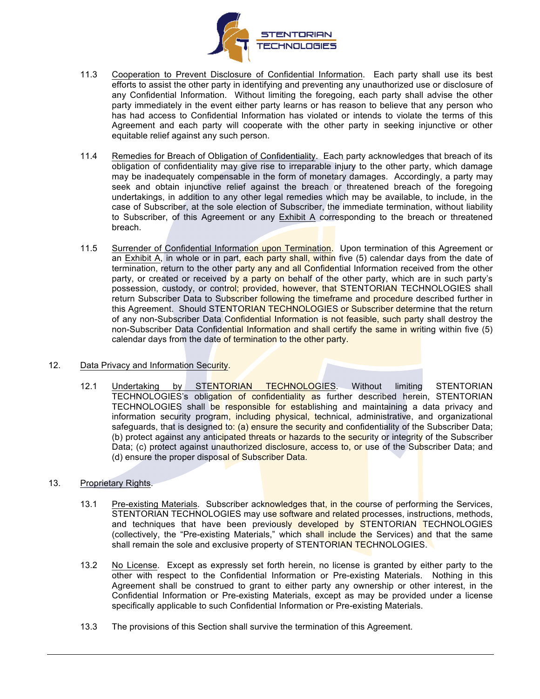

- 11.3 Cooperation to Prevent Disclosure of Confidential Information. Each party shall use its best efforts to assist the other party in identifying and preventing any unauthorized use or disclosure of any Confidential Information. Without limiting the foregoing, each party shall advise the other party immediately in the event either party learns or has reason to believe that any person who has had access to Confidential Information has violated or intends to violate the terms of this Agreement and each party will cooperate with the other party in seeking injunctive or other equitable relief against any such person.
- 11.4 Remedies for Breach of Obligation of Confidentiality. Each party acknowledges that breach of its obligation of confidentiality may give rise to irreparable injury to the other party, which damage may be inadequately compensable in the form of monetary damages. Accordingly, a party may seek and obtain injunctive relief against the breach or threatened breach of the foregoing undertakings, in addition to any other legal remedies which may be available, to include, in the case of Subscriber, at the sole election of Subscriber, the immediate termination, without liability to Subscriber, of this Agreement or any Exhibit A corresponding to the breach or threatened breach.
- 11.5 Surrender of Confidential Information upon Termination. Upon termination of this Agreement or an Exhibit A, in whole or in part, each party shall, within five (5) calendar days from the date of termination, return to the other party any and all Confidential Information received from the other party, or created or received by a party on behalf of the other party, which are in such party's possession, custody, or control; provided, however, that STENTORIAN TECHNOLOGIES shall return Subscriber Data to Subscriber following the timeframe and procedure described further in this Agreement. Should STENTORIAN TECHNOLOGIES or Subscriber determine that the return of any non-Subscriber Data Confidential Information is not feasible, such party shall destroy the non-Subscriber Data Confidential Information and shall certify the same in writing within five (5) calendar days from the date of termination to the other party.

### 12. Data Privacy and Information Security.

12.1 Undertaking by STENTORIAN TECHNOLOGIES. Without limiting STENTORIAN TECHNOLOGIES's obligation of confidentiality as further described herein, STENTORIAN TECHNOLOGIES shall be responsible for establishing and maintaining a data privacy and information security program, including physical, technical, administrative, and organizational safeguards, that is designed to: (a) ensure the security and confidentiality of the Subscriber Data; (b) protect against any anticipated threats or hazards to the security or integrity of the Subscriber Data; (c) protect against unauthorized disclosure, access to, or use of the Subscriber Data; and (d) ensure the proper disposal of Subscriber Data.

### 13. Proprietary Rights.

- 13.1 Pre-existing Materials. Subscriber acknowledges that, in the course of performing the Services, STENTORIAN TECHNOLOGIES may use software and related processes, instructions, methods, and techniques that have been previously developed by STENTORIAN TECHNOLOGIES (collectively, the "Pre-existing Materials," which shall include the Services) and that the same shall remain the sole and exclusive property of STENTORIAN TECHNOLOGIES.
- 13.2 No License. Except as expressly set forth herein, no license is granted by either party to the other with respect to the Confidential Information or Pre-existing Materials. Nothing in this Agreement shall be construed to grant to either party any ownership or other interest, in the Confidential Information or Pre-existing Materials, except as may be provided under a license specifically applicable to such Confidential Information or Pre-existing Materials.
- 13.3 The provisions of this Section shall survive the termination of this Agreement.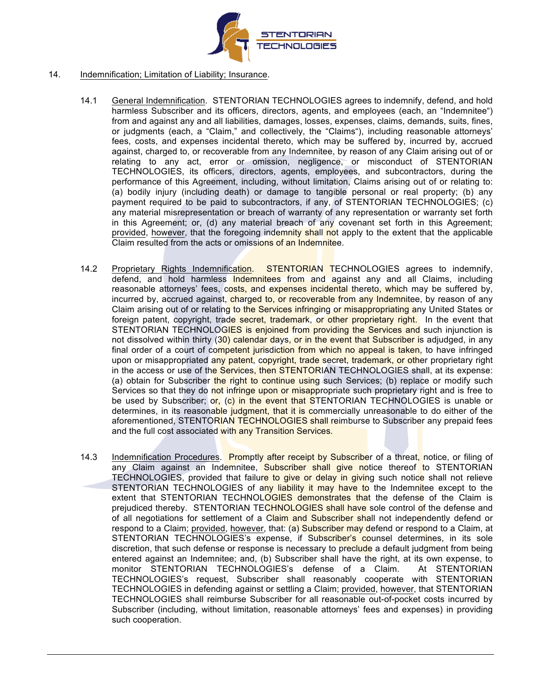

### 14. Indemnification; Limitation of Liability; Insurance.

- 14.1 General Indemnification. STENTORIAN TECHNOLOGIES agrees to indemnify, defend, and hold harmless Subscriber and its officers, directors, agents, and employees (each, an "Indemnitee") from and against any and all liabilities, damages, losses, expenses, claims, demands, suits, fines, or judgments (each, a "Claim," and collectively, the "Claims"), including reasonable attorneys' fees, costs, and expenses incidental thereto, which may be suffered by, incurred by, accrued against, charged to, or recoverable from any Indemnitee, by reason of any Claim arising out of or relating to any act, error or omission, negligence, or misconduct of STENTORIAN TECHNOLOGIES, its officers, directors, agents, employees, and subcontractors, during the performance of this Agreement, including, without limitation, Claims arising out of or relating to: (a) bodily injury (including death) or damage to tangible personal or real property; (b) any payment required to be paid to subcontractors, if any, of STENTORIAN TECHNOLOGIES; (c) any material misrepresentation or breach of warranty of any representation or warranty set forth in this Agreement; or, (d) any material breach of any covenant set forth in this Agreement; provided, however, that the foregoing indemnity shall not apply to the extent that the applicable Claim resulted from the acts or omissions of an Indemnitee.
- 14.2 Proprietary Rights Indemnification. STENTORIAN TECHNOLOGIES agrees to indemnify, defend, and hold harmless Indemnitees from and against any and all Claims, including reasonable attorneys' fees, costs, and expenses incidental thereto, which may be suffered by, incurred by, accrued against, charged to, or recoverable from any Indemnitee, by reason of any Claim arising out of or relating to the Services infringing or misappropriating any United States or foreign patent, copyright, trade secret, trademark, or other proprietary right. In the event that STENTORIAN TECHNOLOGIES is enjoined from providing the Services and such injunction is not dissolved within thirty (30) calendar days, or in the event that Subscriber is adjudged, in any final order of a court of competent jurisdiction from which no appeal is taken, to have infringed upon or misappropriated any patent, copyright, trade secret, trademark, or other proprietary right in the access or use of the Services, then STENTORIAN TECHNOLOGIES shall, at its expense: (a) obtain for Subscriber the right to continue using such Services; (b) replace or modify such Services so that they do not infringe upon or misappropriate such proprietary right and is free to be used by Subscriber; or, (c) in the event that STENTORIAN TECHNOLOGIES is unable or determines, in its reasonable judgment, that it is commercially unreasonable to do either of the aforementioned, STENTORIAN TECHNOLOGIES shall reimburse to Subscriber any prepaid fees and the full cost associated with any Transition Services.
- 14.3 Indemnification Procedures. Promptly after receipt by Subscriber of a threat, notice, or filing of any Claim against an Indemnitee, Subscriber shall give notice thereof to STENTORIAN TECHNOLOGIES, provided that failure to give or delay in giving such notice shall not relieve STENTORIAN TECHNOLOGIES of any liability it may have to the Indemnitee except to the extent that STENTORIAN TECHNOLOGIES demonstrates that the defense of the Claim is prejudiced thereby. STENTORIAN TECHNOLOGIES shall have sole control of the defense and of all negotiations for settlement of a Claim and Subscriber shall not independently defend or respond to a Claim; provided, however, that: (a) Subscriber may defend or respond to a Claim, at STENTORIAN TECHNOLOGIES's expense, if Subscriber's counsel determines, in its sole discretion, that such defense or response is necessary to preclude a default judgment from being entered against an Indemnitee; and, (b) Subscriber shall have the right, at its own expense, to monitor STENTORIAN TECHNOLOGIES's defense of a Claim. At STENTORIAN TECHNOLOGIES's request, Subscriber shall reasonably cooperate with STENTORIAN TECHNOLOGIES in defending against or settling a Claim; provided, however, that STENTORIAN TECHNOLOGIES shall reimburse Subscriber for all reasonable out-of-pocket costs incurred by Subscriber (including, without limitation, reasonable attorneys' fees and expenses) in providing such cooperation.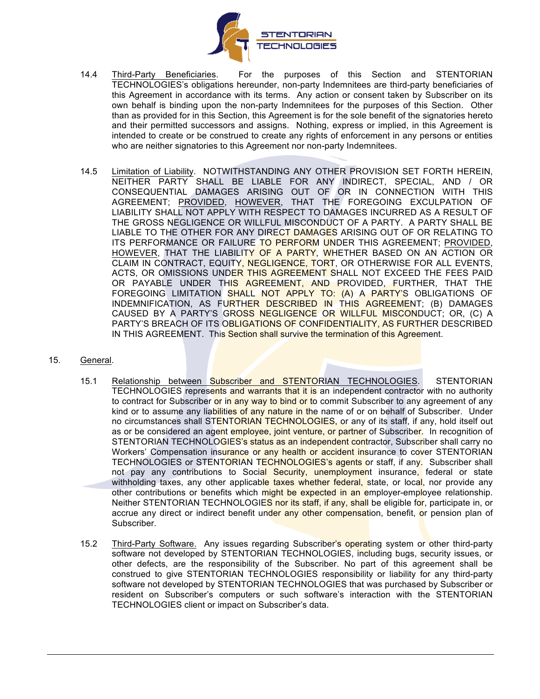

- 14.4 Third-Party Beneficiaries. For the purposes of this Section and STENTORIAN TECHNOLOGIES's obligations hereunder, non-party Indemnitees are third-party beneficiaries of this Agreement in accordance with its terms. Any action or consent taken by Subscriber on its own behalf is binding upon the non-party Indemnitees for the purposes of this Section. Other than as provided for in this Section, this Agreement is for the sole benefit of the signatories hereto and their permitted successors and assigns. Nothing, express or implied, in this Agreement is intended to create or be construed to create any rights of enforcement in any persons or entities who are neither signatories to this Agreement nor non-party Indemnitees.
- 14.5 Limitation of Liability. NOTWITHSTANDING ANY OTHER PROVISION SET FORTH HEREIN, NEITHER PARTY SHALL BE LIABLE FOR ANY INDIRECT, SPECIAL, AND / OR CONSEQUENTIAL DAMAGES ARISING OUT OF OR IN CONNECTION WITH THIS AGREEMENT; PROVIDED, HOWEVER, THAT THE FOREGOING EXCULPATION OF LIABILITY SHALL NOT APPLY WITH RESPECT TO DAMAGES INCURRED AS A RESULT OF THE GROSS NEGLIGENCE OR WILLFUL MISCONDUCT OF A PARTY. A PARTY SHALL BE LIABLE TO THE OTHER FOR ANY DIRECT DAMAGES ARISING OUT OF OR RELATING TO ITS PERFORMANCE OR FAILURE TO PERFORM UNDER THIS AGREEMENT; PROVIDED, HOWEVER, THAT THE LIABILITY OF A PARTY, WHETHER BASED ON AN ACTION OR CLAIM IN CONTRACT, EQUITY, NEGLIGENCE, TORT, OR OTHERWISE FOR ALL EVENTS, ACTS, OR OMISSIONS UNDER THIS AGREEMENT SHALL NOT EXCEED THE FEES PAID OR PAYABLE UNDER THIS AGREEMENT, AND PROVIDED, FURTHER, THAT THE FOREGOING LIMITATION SHALL NOT APPLY TO: (A) A PARTY'S OBLIGATIONS OF INDEMNIFICATION, AS FURTHER DESCRIBED IN THIS AGREEMENT; (B) DAMAGES CAUSED BY A PARTY'S GROSS NEGLIGENCE OR WILLFUL MISCONDUCT; OR, (C) A PARTY'S BREACH OF ITS OBLIGATIONS OF CONFIDENTIALITY, AS FURTHER DESCRIBED IN THIS AGREEMENT. This Section shall survive the termination of this Agreement.
- 15. General.
	- 15.1 Relationship between Subscriber and STENTORIAN TECHNOLOGIES. STENTORIAN TECHNOLOGIES represents and warrants that it is an independent contractor with no authority to contract for Subscriber or in any way to bind or to commit Subscriber to any agreement of any kind or to assume any liabilities of any nature in the name of or on behalf of Subscriber. Under no circumstances shall STENTORIAN TECHNOLOGIES, or any of its staff, if any, hold itself out as or be considered an agent employee, joint venture, or partner of Subscriber. In recognition of STENTORIAN TECHNOLOGIES's status as an independent contractor, Subscriber shall carry no Workers' Compensation insurance or any health or accident insurance to cover STENTORIAN TECHNOLOGIES or STENTORIAN TECHNOLOGIES's agents or staff, if any. Subscriber shall not pay any contributions to Social Security, unemployment insurance, federal or state withholding taxes, any other applicable taxes whether federal, state, or local, nor provide any other contributions or benefits which might be expected in an employer-employee relationship. Neither STENTORIAN TECHNOLOGIES nor its staff, if any, shall be eligible for, participate in, or accrue any direct or indirect benefit under any other compensation, benefit, or pension plan of Subscriber.
	- 15.2 Third-Party Software. Any issues regarding Subscriber's operating system or other third-party software not developed by STENTORIAN TECHNOLOGIES, including bugs, security issues, or other defects, are the responsibility of the Subscriber. No part of this agreement shall be construed to give STENTORIAN TECHNOLOGIES responsibility or liability for any third-party software not developed by STENTORIAN TECHNOLOGIES that was purchased by Subscriber or resident on Subscriber's computers or such software's interaction with the STENTORIAN TECHNOLOGIES client or impact on Subscriber's data.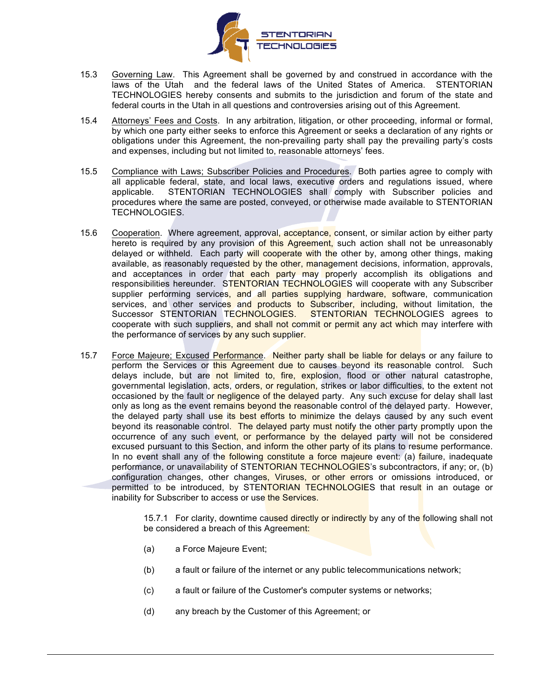

- 15.3 Governing Law. This Agreement shall be governed by and construed in accordance with the laws of the Utah and the federal laws of the United States of America. STENTORIAN TECHNOLOGIES hereby consents and submits to the jurisdiction and forum of the state and federal courts in the Utah in all questions and controversies arising out of this Agreement.
- 15.4 Attorneys' Fees and Costs. In any arbitration, litigation, or other proceeding, informal or formal, by which one party either seeks to enforce this Agreement or seeks a declaration of any rights or obligations under this Agreement, the non-prevailing party shall pay the prevailing party's costs and expenses, including but not limited to, reasonable attorneys' fees.
- 15.5 Compliance with Laws; Subscriber Policies and Procedures. Both parties agree to comply with all applicable federal, state, and local laws, executive orders and regulations issued, where applicable. STENTORIAN TECHNOLOGIES shall comply with Subscriber policies and procedures where the same are posted, conveyed, or otherwise made available to STENTORIAN TECHNOLOGIES.
- 15.6 Cooperation. Where agreement, approval, acceptance, consent, or similar action by either party hereto is required by any provision of this Agreement, such action shall not be unreasonably delayed or withheld. Each party will cooperate with the other by, among other things, making available, as reasonably requested by the other, management decisions, information, approvals, and acceptances in order that each party may properly accomplish its obligations and responsibilities hereunder. STENTORIAN TECHNOLOGIES will cooperate with any Subscriber supplier performing services, and all parties supplying hardware, software, communication services, and other services and products to Subscriber, including, without limitation, the Successor STENTORIAN TECHNOLOGIES. STENTORIAN TECHNOLOGIES agrees to cooperate with such suppliers, and shall not commit or permit any act which may interfere with the performance of services by any such supplier.
- 15.7 Force Majeure; Excused Performance. Neither party shall be liable for delays or any failure to perform the Services or this Agreement due to causes beyond its reasonable control. Such delays include, but are not limited to, fire, explosion, flood or other natural catastrophe, governmental legislation, acts, orders, or regulation, strikes or labor difficulties, to the extent not occasioned by the fault or negligence of the delayed party. Any such excuse for delay shall last only as long as the event remains beyond the reasonable control of the delayed party. However, the delayed party shall use its best efforts to minimize the delays caused by any such event beyond its reasonable control. The delayed party must notify the other party promptly upon the occurrence of any such event, or performance by the delayed party will not be considered excused pursuant to this Section, and inform the other party of its plans to resume performance. In no event shall any of the following constitute a force majeure event: (a) failure, inadequate performance, or unavailability of STENTORIAN TECHNOLOGIES's subcontractors, if any; or, (b) configuration changes, other changes, Viruses, or other errors or omissions introduced, or permitted to be introduced, by STENTORIAN TECHNOLOGIES that result in an outage or inability for Subscriber to access or use the Services.

15.7.1 For clarity, downtime caused directly or indirectly by any of the following shall not be considered a breach of this Agreement:

- (a) a Force Majeure Event;
- (b) a fault or failure of the internet or any public telecommunications network;
- (c) a fault or failure of the Customer's computer systems or networks;
- (d) any breach by the Customer of this Agreement; or